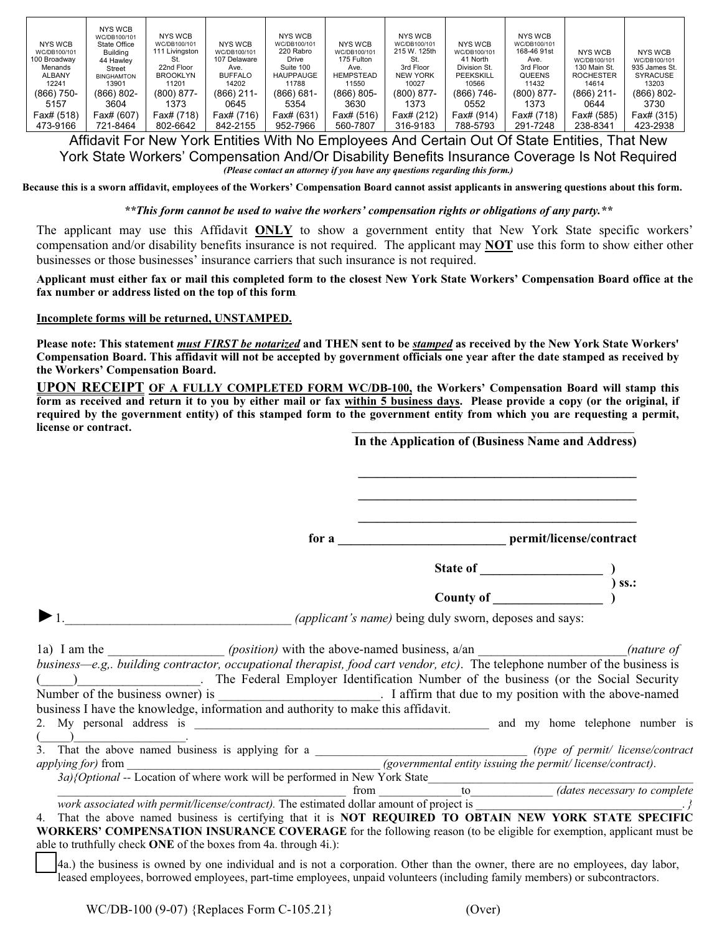| NYS WCB                      | NYS WCB<br>WC/DB100/101<br>State Office | NYS WCB<br>WC/DB100/101 | NYS WCB                      | NYS WCB<br>WC/DB100/101 | NYS WCB                    | NYS WCB<br>WC/DB100/101 | NYS WCB                  | <b>NYS WCB</b><br>WC/DB100/101 |                                |                                |
|------------------------------|-----------------------------------------|-------------------------|------------------------------|-------------------------|----------------------------|-------------------------|--------------------------|--------------------------------|--------------------------------|--------------------------------|
| WC/DB100/101<br>100 Broadway | Buildina                                | 111 Livingston          | WC/DB100/101<br>107 Delaware | 220 Rabro<br>Drive      | WC/DB100/101<br>175 Fulton | 215 W. 125th<br>St.     | WC/DB100/101<br>41 North | 168-46 91st<br>Ave.            | <b>NYS WCB</b><br>WC/DB100/101 | <b>NYS WCB</b><br>WC/DB100/101 |
| Menands                      | 44 Hawley<br>Street                     | 22nd Floor              | Ave.                         | Suite 100               | Ave.                       | 3rd Floor               | Division St.             | 3rd Floor                      | 130 Main St.                   | 935 James St.                  |
| ALBANY                       | <b>BINGHAMTON</b>                       | <b>BROOKLYN</b>         | <b>BUFFALO</b>               | <b>HAUPPAUGE</b>        | HEMPSTEAD                  | NEW YORK                | PEEKSKILL                | <b>QUEENS</b>                  | <b>ROCHESTER</b>               | <b>SYRACUSE</b>                |
| 12241                        | 13901                                   | 11201                   | 14202                        | 11788                   | 11550                      | 10027                   | 10566                    | 11432                          | 14614                          | 13203                          |
| $(866)$ 750-                 | $(866) 802 -$                           | $(800) 877 -$           | $(866)$ 211-                 | (866) 681-              | $(866) 805 -$              | $(800) 877 -$           | $(866) 746-$             | $(800) 877 -$                  | (866) 211-                     | $(866) 802 -$                  |
| 5157                         | 3604                                    | 1373                    | 0645                         | 5354                    | 3630                       | 1373                    | 0552                     | 1373                           | 0644                           | 3730                           |
| Fax# (518)                   | Fax# (607)                              | Fax# (718)              | Fax# (716)                   | Fax# (631)              | Fax# (516)                 | Fax# (212)              | Fax# (914)               | Fax# (718)                     | Fax# (585)                     | Fax# (315)                     |
| 473-9166                     | 721-8464                                | 802-6642                | 842-2155                     | 952-7966                | 560-7807                   | 316-9183                | 788-5793                 | 291-7248                       | 238-8341                       | 423-2938                       |

Affidavit For New York Entities With No Employees And Certain Out Of State Entities, That New York State Workers' Compensation And/Or Disability Benefits Insurance Coverage Is Not Required *(Please contact an attorney if you have any questions regarding this form.)*

**Because this is a sworn affidavit, employees of the Workers' Compensation Board cannot assist applicants in answering questions about this form.**

*\*\*This form cannot be used to waive the workers' compensation rights or obligations of any party.\*\**

The applicant may use this Affidavit **ONLY** to show a government entity that New York State specific workers' compensation and/or disability benefits insurance is not required. The applicant may **NOT** use this form to show either other businesses or those businesses' insurance carriers that such insurance is not required.

**Applicant must either fax or mail this completed form to the closest New York State Workers' Compensation Board office at the fax number or address listed on the top of this form.** 

## **Incomplete forms will be returned, UNSTAMPED.**

**Please note: This statement** *must FIRST be notarized* **and THEN sent to be** *stamped* **as received by the New York State Workers' Compensation Board. This affidavit will not be accepted by government officials one year after the date stamped as received by the Workers' Compensation Board.**

**UPON RECEIPT OF A FULLY COMPLETED FORM WC/DB-100, the Workers' Compensation Board will stamp this form as received and return it to you by either mail or fax within 5 business days. Please provide a copy (or the original, if required by the government entity) of this stamped form to the government entity from which you are requesting a permit,**   $l~~i~~cense or contract.$ **In the Application of (Business Name and Address)** 

|                                                                                                                                                                                                                                                                                                                                             | In the Application of (Business Name and Address) |         |  |  |
|---------------------------------------------------------------------------------------------------------------------------------------------------------------------------------------------------------------------------------------------------------------------------------------------------------------------------------------------|---------------------------------------------------|---------|--|--|
|                                                                                                                                                                                                                                                                                                                                             |                                                   |         |  |  |
|                                                                                                                                                                                                                                                                                                                                             |                                                   |         |  |  |
|                                                                                                                                                                                                                                                                                                                                             |                                                   | $ss.$ : |  |  |
|                                                                                                                                                                                                                                                                                                                                             |                                                   |         |  |  |
| (applicant's name) being duly sworn, deposes and says:                                                                                                                                                                                                                                                                                      |                                                   |         |  |  |
| business—e.g. building contractor, occupational therapist, food cart vendor, etc). The telephone number of the business is<br>( ) The Federal Employer Identification Number of the business (or the Social Security<br>Number of the business owner) is ___________________________. I affirm that due to my position with the above-named |                                                   |         |  |  |
| business I have the knowledge, information and authority to make this affidavit.                                                                                                                                                                                                                                                            |                                                   |         |  |  |
|                                                                                                                                                                                                                                                                                                                                             |                                                   |         |  |  |
| $\overline{(\hspace{.5cm}\underline{\hspace{.5cm}})}$ .<br>3. That the above named business is applying for a<br>applying for a (governmental entity issuing the permit/license/contract<br>3a){Optional -- Location of where work will be performed in New York State<br>from to the matricens                                             |                                                   |         |  |  |
|                                                                                                                                                                                                                                                                                                                                             |                                                   |         |  |  |
| <i>work associated with permit/license/contract)</i> . The estimated dollar amount of project is $\frac{1}{2}$ .                                                                                                                                                                                                                            |                                                   |         |  |  |
| 4. That the above named business is certifying that it is NOT REQUIRED TO OBTAIN NEW YORK STATE SPECIFIC<br><b>WORKERS' COMPENSATION INSURANCE COVERAGE</b> for the following reason (to be eligible for exemption, applicant must be<br>able to truthfully check ONE of the boxes from 4a. through 4i.):                                   |                                                   |         |  |  |
| (40) the hyginess is evend by ano individual and is not a corporation. Other than the evener there are no employees day labor                                                                                                                                                                                                               |                                                   |         |  |  |

 4a.) the business is owned by one individual and is not a corporation. Other than the owner, there are no employees, day labor, leased employees, borrowed employees, part-time employees, unpaid volunteers (including family members) or subcontractors.